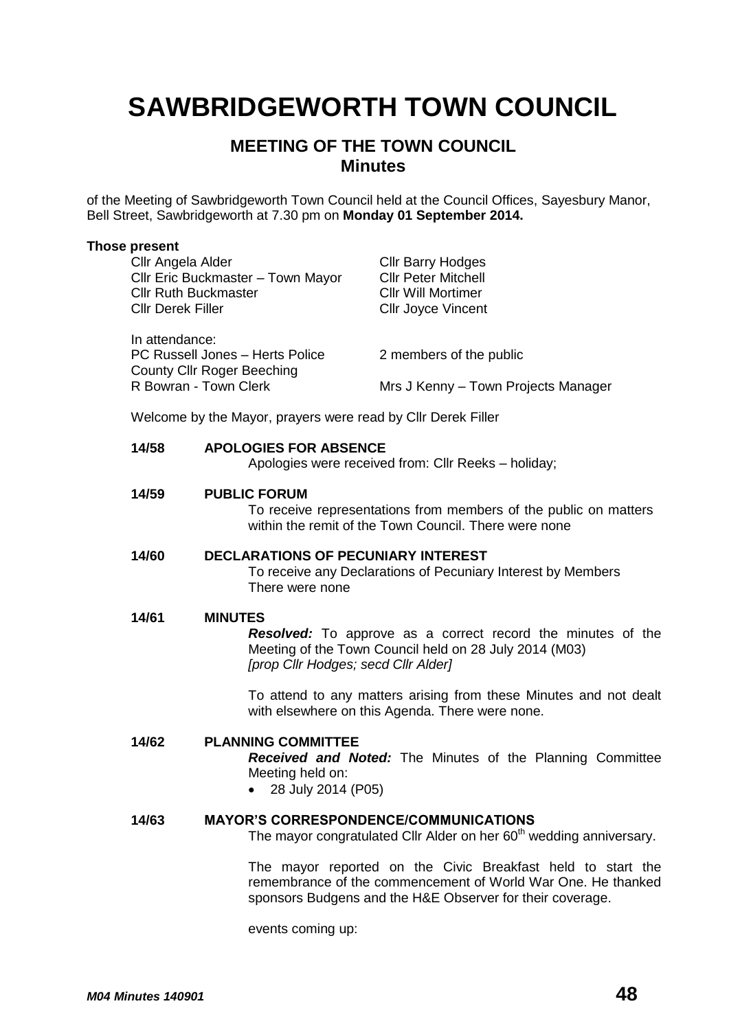# **SAWBRIDGEWORTH TOWN COUNCIL**

# **MEETING OF THE TOWN COUNCIL Minutes**

of the Meeting of Sawbridgeworth Town Council held at the Council Offices, Sayesbury Manor, Bell Street, Sawbridgeworth at 7.30 pm on **Monday 01 September 2014.**

#### **Those present**

| Cllr Angela Alder                                            | <b>Cllr Barry Hodges</b>            |
|--------------------------------------------------------------|-------------------------------------|
| Cllr Eric Buckmaster - Town Mayor                            | <b>Cllr Peter Mitchell</b>          |
| <b>Cllr Ruth Buckmaster</b>                                  | <b>CIIr Will Mortimer</b>           |
| <b>Cllr Derek Filler</b>                                     | <b>CIIr Joyce Vincent</b>           |
| In attendance:                                               |                                     |
| PC Russell Jones - Herts Police                              | 2 members of the public             |
| <b>County Cllr Roger Beeching</b><br>R Bowran - Town Clerk   | Mrs J Kenny - Town Projects Manager |
|                                                              |                                     |
| Welcome by the Mayor, prayers were read by CIIr Derek Filler |                                     |

**14/58 APOLOGIES FOR ABSENCE**

Apologies were received from: Cllr Reeks – holiday;

# **14/59 PUBLIC FORUM** To receive representations from members of the public on matters within the remit of the Town Council. There were none

**14/60 DECLARATIONS OF PECUNIARY INTEREST** To receive any Declarations of Pecuniary Interest by Members There were none

#### **14/61 MINUTES**

*Resolved:* To approve as a correct record the minutes of the Meeting of the Town Council held on 28 July 2014 (M03) *[prop Cllr Hodges; secd Cllr Alder]*

To attend to any matters arising from these Minutes and not dealt with elsewhere on this Agenda. There were none.

#### **14/62 PLANNING COMMITTEE**

*Received and Noted:* The Minutes of the Planning Committee Meeting held on:

28 July 2014 (P05)

#### **14/63 MAYOR'S CORRESPONDENCE/COMMUNICATIONS**

The mayor congratulated Cllr Alder on her  $60<sup>th</sup>$  wedding anniversary.

The mayor reported on the Civic Breakfast held to start the remembrance of the commencement of World War One. He thanked sponsors Budgens and the H&E Observer for their coverage.

events coming up: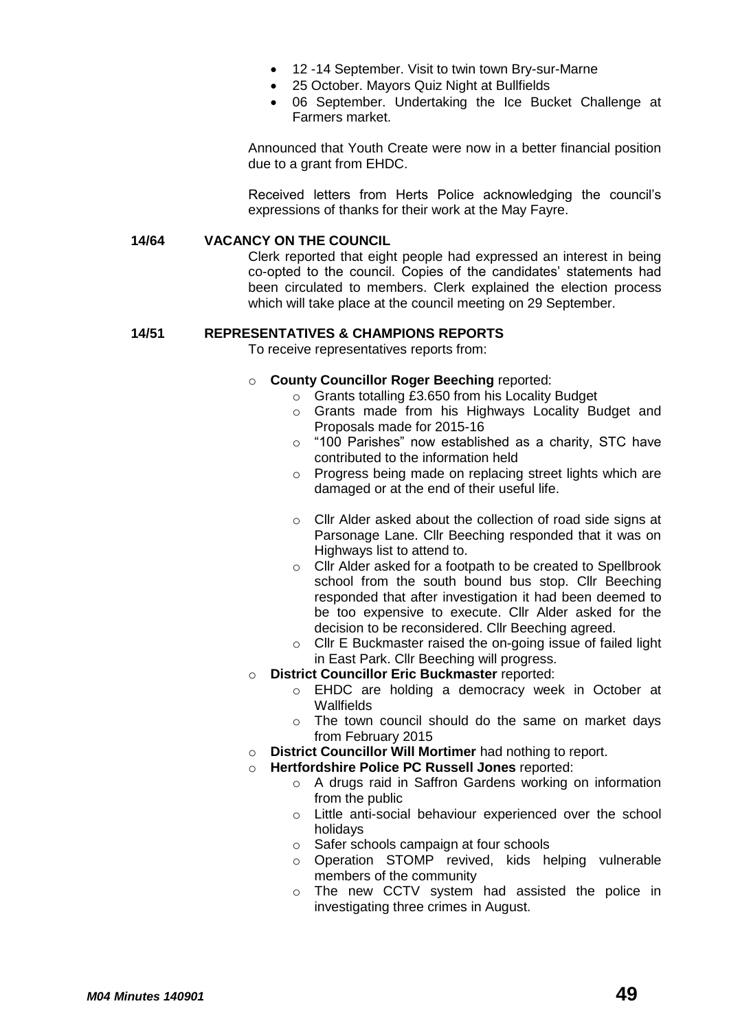- 12 -14 September. Visit to twin town Bry-sur-Marne
- 25 October. Mayors Quiz Night at Bullfields
- 06 September. Undertaking the Ice Bucket Challenge at Farmers market.

Announced that Youth Create were now in a better financial position due to a grant from EHDC.

Received letters from Herts Police acknowledging the council's expressions of thanks for their work at the May Fayre.

#### **14/64 VACANCY ON THE COUNCIL**

Clerk reported that eight people had expressed an interest in being co-opted to the council. Copies of the candidates' statements had been circulated to members. Clerk explained the election process which will take place at the council meeting on 29 September.

#### **14/51 REPRESENTATIVES & CHAMPIONS REPORTS**

To receive representatives reports from:

- **County Councillor Roger Beeching reported:** 
	- o Grants totalling £3.650 from his Locality Budget
	- o Grants made from his Highways Locality Budget and Proposals made for 2015-16
	- o "100 Parishes" now established as a charity, STC have contributed to the information held
	- o Progress being made on replacing street lights which are damaged or at the end of their useful life.
	- o Cllr Alder asked about the collection of road side signs at Parsonage Lane. Cllr Beeching responded that it was on Highways list to attend to.
	- o Cllr Alder asked for a footpath to be created to Spellbrook school from the south bound bus stop. Cllr Beeching responded that after investigation it had been deemed to be too expensive to execute. Cllr Alder asked for the decision to be reconsidered. Cllr Beeching agreed.
	- o Cllr E Buckmaster raised the on-going issue of failed light in East Park. Cllr Beeching will progress.
- o **District Councillor Eric Buckmaster** reported:
	- o EHDC are holding a democracy week in October at **Wallfields**
	- o The town council should do the same on market days from February 2015
- o **District Councillor Will Mortimer** had nothing to report.
- o **Hertfordshire Police PC Russell Jones** reported:
	- o A drugs raid in Saffron Gardens working on information from the public
	- o Little anti-social behaviour experienced over the school holidays
	- o Safer schools campaign at four schools
	- o Operation STOMP revived, kids helping vulnerable members of the community
	- o The new CCTV system had assisted the police in investigating three crimes in August.